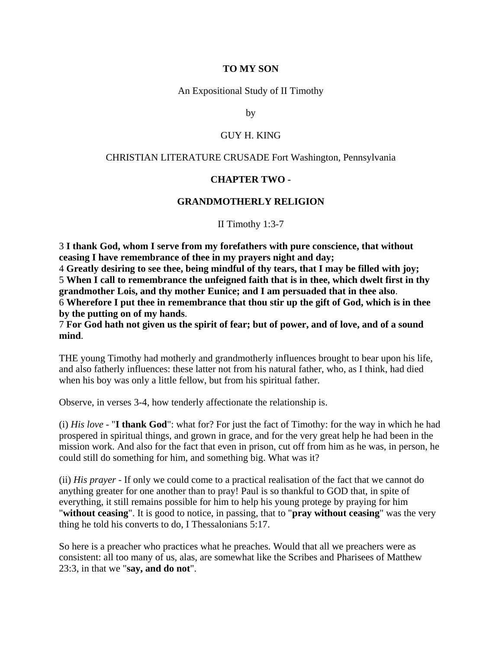### **TO MY SON**

#### An Expositional Study of II Timothy

by

### GUY H. KING

#### CHRISTIAN LITERATURE CRUSADE Fort Washington, Pennsylvania

#### **CHAPTER TWO -**

#### **GRANDMOTHERLY RELIGION**

II Timothy 1:3-7

3 **I thank God, whom I serve from my forefathers with pure conscience, that without ceasing I have remembrance of thee in my prayers night and day;**

4 **Greatly desiring to see thee, being mindful of thy tears, that I may be filled with joy;** 5 **When I call to remembrance the unfeigned faith that is in thee, which dwelt first in thy grandmother Lois, and thy mother Eunice; and I am persuaded that in thee also**. 6 **Wherefore I put thee in remembrance that thou stir up the gift of God, which is in thee by the putting on of my hands**.

7 **For God hath not given us the spirit of fear; but of power, and of love, and of a sound mind**.

THE young Timothy had motherly and grandmotherly influences brought to bear upon his life, and also fatherly influences: these latter not from his natural father, who, as I think, had died when his boy was only a little fellow, but from his spiritual father.

Observe, in verses 3-4, how tenderly affectionate the relationship is.

(i) *His love* - "**I thank God**": what for? For just the fact of Timothy: for the way in which he had prospered in spiritual things, and grown in grace, and for the very great help he had been in the mission work. And also for the fact that even in prison, cut off from him as he was, in person, he could still do something for him, and something big. What was it?

(ii) *His prayer* - If only we could come to a practical realisation of the fact that we cannot do anything greater for one another than to pray! Paul is so thankful to GOD that, in spite of everything, it still remains possible for him to help his young protege by praying for him "**without ceasing**". It is good to notice, in passing, that to "**pray without ceasing**" was the very thing he told his converts to do, I Thessalonians 5:17.

So here is a preacher who practices what he preaches. Would that all we preachers were as consistent: all too many of us, alas, are somewhat like the Scribes and Pharisees of Matthew 23:3, in that we "**say, and do not**".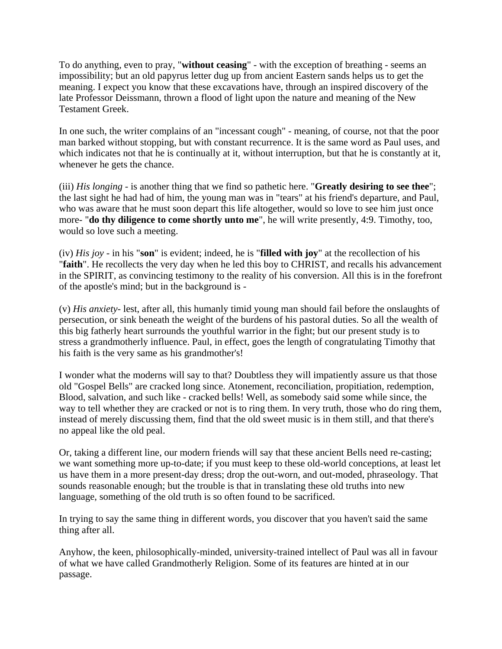To do anything, even to pray, "**without ceasing**" - with the exception of breathing - seems an impossibility; but an old papyrus letter dug up from ancient Eastern sands helps us to get the meaning. I expect you know that these excavations have, through an inspired discovery of the late Professor Deissmann, thrown a flood of light upon the nature and meaning of the New Testament Greek.

In one such, the writer complains of an "incessant cough" - meaning, of course, not that the poor man barked without stopping, but with constant recurrence. It is the same word as Paul uses, and which indicates not that he is continually at it, without interruption, but that he is constantly at it, whenever he gets the chance.

(iii) *His longing* - is another thing that we find so pathetic here. "**Greatly desiring to see thee**"; the last sight he had had of him, the young man was in "tears" at his friend's departure, and Paul, who was aware that he must soon depart this life altogether, would so love to see him just once more- "**do thy diligence to come shortly unto me**", he will write presently, 4:9. Timothy, too, would so love such a meeting.

(iv) *His joy* - in his "**son**" is evident; indeed, he is "**filled with joy**" at the recollection of his "**faith**". He recollects the very day when he led this boy to CHRIST, and recalls his advancement in the SPIRIT, as convincing testimony to the reality of his conversion. All this is in the forefront of the apostle's mind; but in the background is -

(v) *His anxiety*- lest, after all, this humanly timid young man should fail before the onslaughts of persecution, or sink beneath the weight of the burdens of his pastoral duties. So all the wealth of this big fatherly heart surrounds the youthful warrior in the fight; but our present study is to stress a grandmotherly influence. Paul, in effect, goes the length of congratulating Timothy that his faith is the very same as his grandmother's!

I wonder what the moderns will say to that? Doubtless they will impatiently assure us that those old "Gospel Bells" are cracked long since. Atonement, reconciliation, propitiation, redemption, Blood, salvation, and such like - cracked bells! Well, as somebody said some while since, the way to tell whether they are cracked or not is to ring them. In very truth, those who do ring them, instead of merely discussing them, find that the old sweet music is in them still, and that there's no appeal like the old peal.

Or, taking a different line, our modern friends will say that these ancient Bells need re-casting; we want something more up-to-date; if you must keep to these old-world conceptions, at least let us have them in a more present-day dress; drop the out-worn, and out-moded, phraseology. That sounds reasonable enough; but the trouble is that in translating these old truths into new language, something of the old truth is so often found to be sacrificed.

In trying to say the same thing in different words, you discover that you haven't said the same thing after all.

Anyhow, the keen, philosophically-minded, university-trained intellect of Paul was all in favour of what we have called Grandmotherly Religion. Some of its features are hinted at in our passage.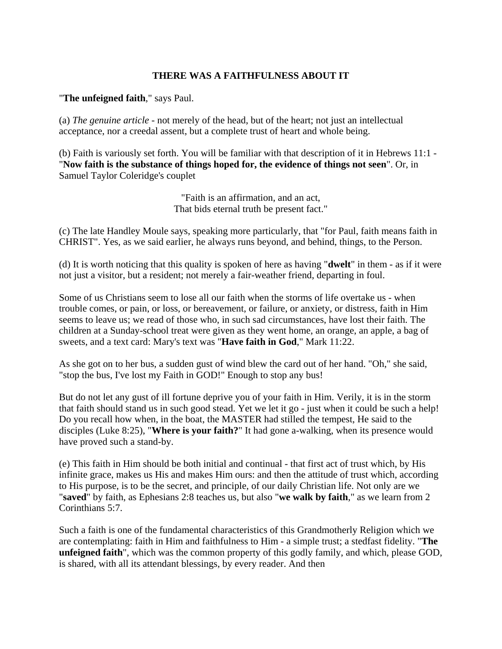# **THERE WAS A FAITHFULNESS ABOUT IT**

### "**The unfeigned faith**," says Paul.

(a) *The genuine article* - not merely of the head, but of the heart; not just an intellectual acceptance, nor a creedal assent, but a complete trust of heart and whole being.

(b) Faith is variously set forth. You will be familiar with that description of it in Hebrews 11:1 - "**Now faith is the substance of things hoped for, the evidence of things not seen**". Or, in Samuel Taylor Coleridge's couplet

> "Faith is an affirmation, and an act, That bids eternal truth be present fact."

(c) The late Handley Moule says, speaking more particularly, that "for Paul, faith means faith in CHRIST". Yes, as we said earlier, he always runs beyond, and behind, things, to the Person.

(d) It is worth noticing that this quality is spoken of here as having "**dwelt**" in them - as if it were not just a visitor, but a resident; not merely a fair-weather friend, departing in foul.

Some of us Christians seem to lose all our faith when the storms of life overtake us - when trouble comes, or pain, or loss, or bereavement, or failure, or anxiety, or distress, faith in Him seems to leave us; we read of those who, in such sad circumstances, have lost their faith. The children at a Sunday-school treat were given as they went home, an orange, an apple, a bag of sweets, and a text card: Mary's text was "**Have faith in God**," Mark 11:22.

As she got on to her bus, a sudden gust of wind blew the card out of her hand. "Oh," she said, "stop the bus, I've lost my Faith in GOD!" Enough to stop any bus!

But do not let any gust of ill fortune deprive you of your faith in Him. Verily, it is in the storm that faith should stand us in such good stead. Yet we let it go - just when it could be such a help! Do you recall how when, in the boat, the MASTER had stilled the tempest, He said to the disciples (Luke 8:25), "**Where is your faith?**" It had gone a-walking, when its presence would have proved such a stand-by.

(e) This faith in Him should be both initial and continual - that first act of trust which, by His infinite grace, makes us His and makes Him ours: and then the attitude of trust which, according to His purpose, is to be the secret, and principle, of our daily Christian life. Not only are we "**saved**" by faith, as Ephesians 2:8 teaches us, but also "**we walk by faith**," as we learn from 2 Corinthians 5:7.

Such a faith is one of the fundamental characteristics of this Grandmotherly Religion which we are contemplating: faith in Him and faithfulness to Him - a simple trust; a stedfast fidelity. "**The unfeigned faith**", which was the common property of this godly family, and which, please GOD, is shared, with all its attendant blessings, by every reader. And then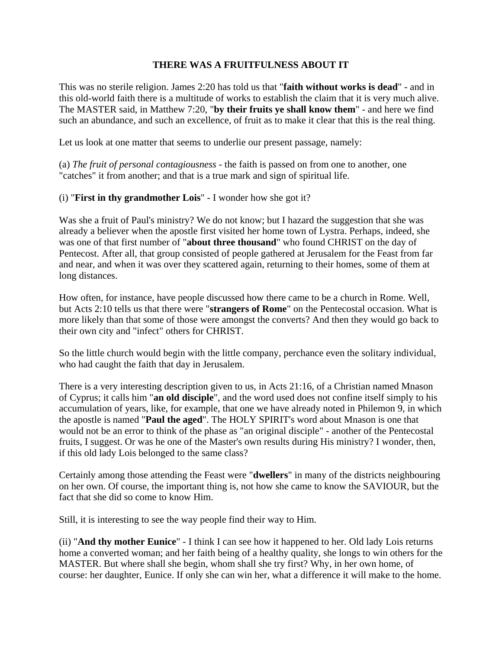### **THERE WAS A FRUITFULNESS ABOUT IT**

This was no sterile religion. James 2:20 has told us that "**faith without works is dead**" - and in this old-world faith there is a multitude of works to establish the claim that it is very much alive. The MASTER said, in Matthew 7:20, "**by their fruits ye shall know them**" - and here we find such an abundance, and such an excellence, of fruit as to make it clear that this is the real thing.

Let us look at one matter that seems to underlie our present passage, namely:

(a) *The fruit of personal contagiousness* - the faith is passed on from one to another, one "catches" it from another; and that is a true mark and sign of spiritual life.

### (i) "**First in thy grandmother Lois**" - I wonder how she got it?

Was she a fruit of Paul's ministry? We do not know; but I hazard the suggestion that she was already a believer when the apostle first visited her home town of Lystra. Perhaps, indeed, she was one of that first number of "**about three thousand**" who found CHRIST on the day of Pentecost. After all, that group consisted of people gathered at Jerusalem for the Feast from far and near, and when it was over they scattered again, returning to their homes, some of them at long distances.

How often, for instance, have people discussed how there came to be a church in Rome. Well, but Acts 2:10 tells us that there were "**strangers of Rome**" on the Pentecostal occasion. What is more likely than that some of those were amongst the converts? And then they would go back to their own city and "infect" others for CHRIST.

So the little church would begin with the little company, perchance even the solitary individual, who had caught the faith that day in Jerusalem.

There is a very interesting description given to us, in Acts 21:16, of a Christian named Mnason of Cyprus; it calls him "**an old disciple**", and the word used does not confine itself simply to his accumulation of years, like, for example, that one we have already noted in Philemon 9, in which the apostle is named "**Paul the aged**". The HOLY SPIRIT's word about Mnason is one that would not be an error to think of the phase as "an original disciple" - another of the Pentecostal fruits, I suggest. Or was he one of the Master's own results during His ministry? I wonder, then, if this old lady Lois belonged to the same class?

Certainly among those attending the Feast were "**dwellers**" in many of the districts neighbouring on her own. Of course, the important thing is, not how she came to know the SAVIOUR, but the fact that she did so come to know Him.

Still, it is interesting to see the way people find their way to Him.

(ii) "**And thy mother Eunice**" - I think I can see how it happened to her. Old lady Lois returns home a converted woman; and her faith being of a healthy quality, she longs to win others for the MASTER. But where shall she begin, whom shall she try first? Why, in her own home, of course: her daughter, Eunice. If only she can win her, what a difference it will make to the home.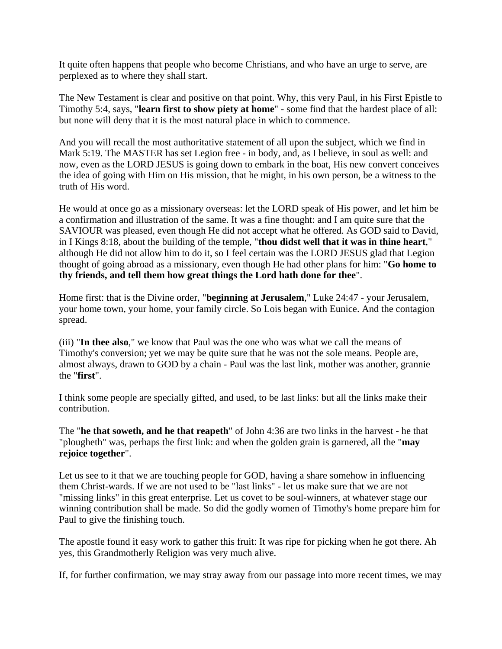It quite often happens that people who become Christians, and who have an urge to serve, are perplexed as to where they shall start.

The New Testament is clear and positive on that point. Why, this very Paul, in his First Epistle to Timothy 5:4, says, "**learn first to show piety at home**" - some find that the hardest place of all: but none will deny that it is the most natural place in which to commence.

And you will recall the most authoritative statement of all upon the subject, which we find in Mark 5:19. The MASTER has set Legion free - in body, and, as I believe, in soul as well: and now, even as the LORD JESUS is going down to embark in the boat, His new convert conceives the idea of going with Him on His mission, that he might, in his own person, be a witness to the truth of His word.

He would at once go as a missionary overseas: let the LORD speak of His power, and let him be a confirmation and illustration of the same. It was a fine thought: and I am quite sure that the SAVIOUR was pleased, even though He did not accept what he offered. As GOD said to David, in I Kings 8:18, about the building of the temple, "**thou didst well that it was in thine heart**," although He did not allow him to do it, so I feel certain was the LORD JESUS glad that Legion thought of going abroad as a missionary, even though He had other plans for him: "**Go home to thy friends, and tell them how great things the Lord hath done for thee**".

Home first: that is the Divine order, "**beginning at Jerusalem**," Luke 24:47 - your Jerusalem, your home town, your home, your family circle. So Lois began with Eunice. And the contagion spread.

(iii) "**In thee also**," we know that Paul was the one who was what we call the means of Timothy's conversion; yet we may be quite sure that he was not the sole means. People are, almost always, drawn to GOD by a chain - Paul was the last link, mother was another, grannie the "**first**".

I think some people are specially gifted, and used, to be last links: but all the links make their contribution.

The "**he that soweth, and he that reapeth**" of John 4:36 are two links in the harvest - he that "plougheth" was, perhaps the first link: and when the golden grain is garnered, all the "**may rejoice together**".

Let us see to it that we are touching people for GOD, having a share somehow in influencing them Christ-wards. If we are not used to be "last links" - let us make sure that we are not "missing links" in this great enterprise. Let us covet to be soul-winners, at whatever stage our winning contribution shall be made. So did the godly women of Timothy's home prepare him for Paul to give the finishing touch.

The apostle found it easy work to gather this fruit: It was ripe for picking when he got there. Ah yes, this Grandmotherly Religion was very much alive.

If, for further confirmation, we may stray away from our passage into more recent times, we may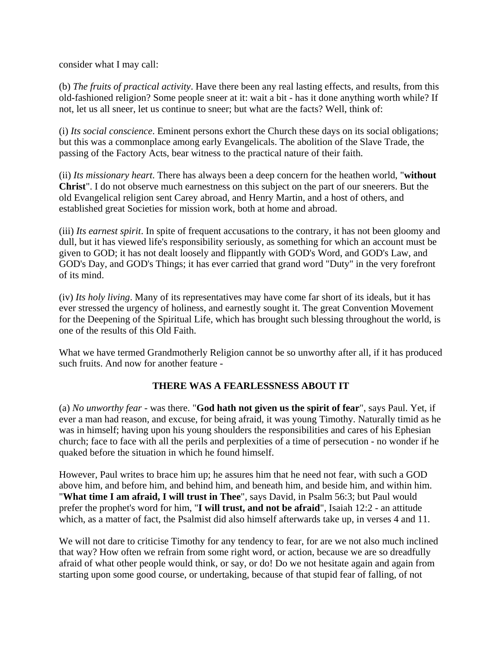consider what I may call:

(b) *The fruits of practical activity*. Have there been any real lasting effects, and results, from this old-fashioned religion? Some people sneer at it: wait a bit - has it done anything worth while? If not, let us all sneer, let us continue to sneer; but what are the facts? Well, think of:

(i) *Its social conscience*. Eminent persons exhort the Church these days on its social obligations; but this was a commonplace among early Evangelicals. The abolition of the Slave Trade, the passing of the Factory Acts, bear witness to the practical nature of their faith.

(ii) *Its missionary heart*. There has always been a deep concern for the heathen world, "**without Christ**". I do not observe much earnestness on this subject on the part of our sneerers. But the old Evangelical religion sent Carey abroad, and Henry Martin, and a host of others, and established great Societies for mission work, both at home and abroad.

(iii) *Its earnest spirit*. In spite of frequent accusations to the contrary, it has not been gloomy and dull, but it has viewed life's responsibility seriously, as something for which an account must be given to GOD; it has not dealt loosely and flippantly with GOD's Word, and GOD's Law, and GOD's Day, and GOD's Things; it has ever carried that grand word "Duty" in the very forefront of its mind.

(iv) *Its holy living*. Many of its representatives may have come far short of its ideals, but it has ever stressed the urgency of holiness, and earnestly sought it. The great Convention Movement for the Deepening of the Spiritual Life, which has brought such blessing throughout the world, is one of the results of this Old Faith.

What we have termed Grandmotherly Religion cannot be so unworthy after all, if it has produced such fruits. And now for another feature -

# **THERE WAS A FEARLESSNESS ABOUT IT**

(a) *No unworthy fear* - was there. "**God hath not given us the spirit of fear**", says Paul. Yet, if ever a man had reason, and excuse, for being afraid, it was young Timothy. Naturally timid as he was in himself; having upon his young shoulders the responsibilities and cares of his Ephesian church; face to face with all the perils and perplexities of a time of persecution - no wonder if he quaked before the situation in which he found himself.

However, Paul writes to brace him up; he assures him that he need not fear, with such a GOD above him, and before him, and behind him, and beneath him, and beside him, and within him. "**What time I am afraid, I will trust in Thee**", says David, in Psalm 56:3; but Paul would prefer the prophet's word for him, "**I will trust, and not be afraid**", Isaiah 12:2 - an attitude which, as a matter of fact, the Psalmist did also himself afterwards take up, in verses 4 and 11.

We will not dare to criticise Timothy for any tendency to fear, for are we not also much inclined that way? How often we refrain from some right word, or action, because we are so dreadfully afraid of what other people would think, or say, or do! Do we not hesitate again and again from starting upon some good course, or undertaking, because of that stupid fear of falling, of not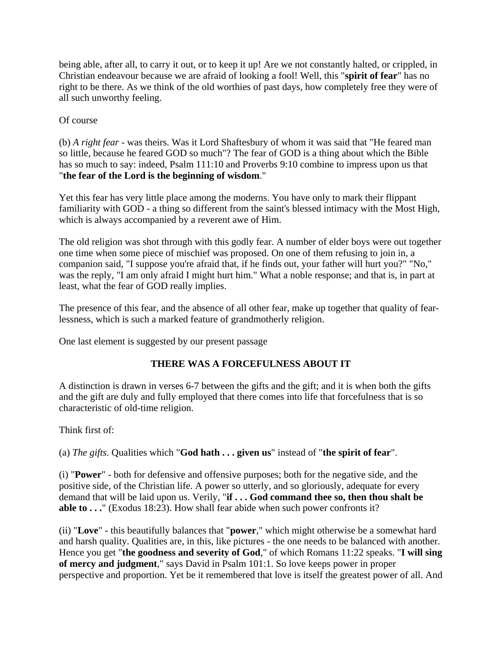being able, after all, to carry it out, or to keep it up! Are we not constantly halted, or crippled, in Christian endeavour because we are afraid of looking a fool! Well, this "**spirit of fear**" has no right to be there. As we think of the old worthies of past days, how completely free they were of all such unworthy feeling.

# Of course

(b) *A right fear* - was theirs. Was it Lord Shaftesbury of whom it was said that "He feared man so little, because he feared GOD so much"? The fear of GOD is a thing about which the Bible has so much to say: indeed, Psalm 111:10 and Proverbs 9:10 combine to impress upon us that "**the fear of the Lord is the beginning of wisdom**."

Yet this fear has very little place among the moderns. You have only to mark their flippant familiarity with GOD - a thing so different from the saint's blessed intimacy with the Most High, which is always accompanied by a reverent awe of Him.

The old religion was shot through with this godly fear. A number of elder boys were out together one time when some piece of mischief was proposed. On one of them refusing to join in, a companion said, "I suppose you're afraid that, if he finds out, your father will hurt you?" "No," was the reply, "I am only afraid I might hurt him." What a noble response; and that is, in part at least, what the fear of GOD really implies.

The presence of this fear, and the absence of all other fear, make up together that quality of fearlessness, which is such a marked feature of grandmotherly religion.

One last element is suggested by our present passage

# **THERE WAS A FORCEFULNESS ABOUT IT**

A distinction is drawn in verses 6-7 between the gifts and the gift; and it is when both the gifts and the gift are duly and fully employed that there comes into life that forcefulness that is so characteristic of old-time religion.

Think first of:

(a) *The gifts*. Qualities which "**God hath . . . given us**" instead of "**the spirit of fear**".

(i) "**Power**" - both for defensive and offensive purposes; both for the negative side, and the positive side, of the Christian life. A power so utterly, and so gloriously, adequate for every demand that will be laid upon us. Verily, "**if . . . God command thee so, then thou shalt be able to . . .**" (Exodus 18:23). How shall fear abide when such power confronts it?

(ii) "**Love**" - this beautifully balances that "**power**," which might otherwise be a somewhat hard and harsh quality. Qualities are, in this, like pictures - the one needs to be balanced with another. Hence you get "**the goodness and severity of God**," of which Romans 11:22 speaks. "**I will sing of mercy and judgment**," says David in Psalm 101:1. So love keeps power in proper perspective and proportion. Yet be it remembered that love is itself the greatest power of all. And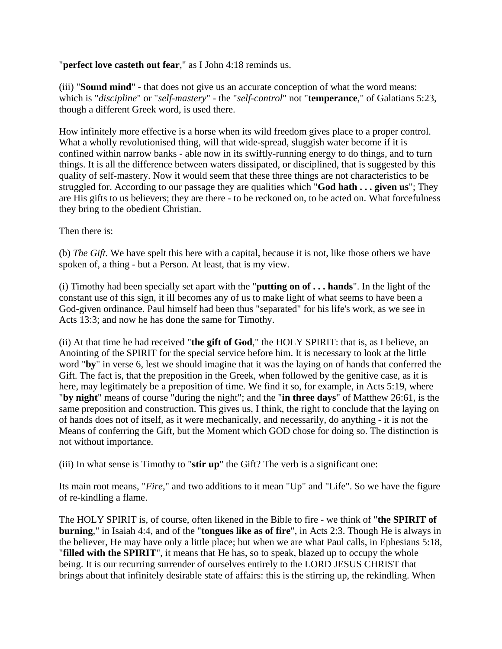### "**perfect love casteth out fear**," as I John 4:18 reminds us.

(iii) "**Sound mind**" - that does not give us an accurate conception of what the word means: which is "*discipline*" or "*self-mastery*" - the "*self-control*" not "**temperance**," of Galatians 5:23, though a different Greek word, is used there.

How infinitely more effective is a horse when its wild freedom gives place to a proper control. What a wholly revolutionised thing, will that wide-spread, sluggish water become if it is confined within narrow banks - able now in its swiftly-running energy to do things, and to turn things. It is all the difference between waters dissipated, or disciplined, that is suggested by this quality of self-mastery. Now it would seem that these three things are not characteristics to be struggled for. According to our passage they are qualities which "**God hath . . . given us**"; They are His gifts to us believers; they are there - to be reckoned on, to be acted on. What forcefulness they bring to the obedient Christian.

Then there is:

(b) *The Gift.* We have spelt this here with a capital, because it is not, like those others we have spoken of, a thing - but a Person. At least, that is my view.

(i) Timothy had been specially set apart with the "**putting on of . . . hands**". In the light of the constant use of this sign, it ill becomes any of us to make light of what seems to have been a God-given ordinance. Paul himself had been thus "separated" for his life's work, as we see in Acts 13:3; and now he has done the same for Timothy.

(ii) At that time he had received "**the gift of God**," the HOLY SPIRIT: that is, as I believe, an Anointing of the SPIRIT for the special service before him. It is necessary to look at the little word "**by**" in verse 6, lest we should imagine that it was the laying on of hands that conferred the Gift. The fact is, that the preposition in the Greek, when followed by the genitive case, as it is here, may legitimately be a preposition of time. We find it so, for example, in Acts 5:19, where "**by night**" means of course "during the night"; and the "**in three days**" of Matthew 26:61, is the same preposition and construction. This gives us, I think, the right to conclude that the laying on of hands does not of itself, as it were mechanically, and necessarily, do anything - it is not the Means of conferring the Gift, but the Moment which GOD chose for doing so. The distinction is not without importance.

(iii) In what sense is Timothy to "**stir up**" the Gift? The verb is a significant one:

Its main root means, "*Fire*," and two additions to it mean "Up" and "Life". So we have the figure of re-kindling a flame.

The HOLY SPIRIT is, of course, often likened in the Bible to fire - we think of "**the SPIRIT of burning**," in Isaiah 4:4, and of the "**tongues like as of fire**", in Acts 2:3. Though He is always in the believer, He may have only a little place; but when we are what Paul calls, in Ephesians 5:18, "**filled with the SPIRIT**", it means that He has, so to speak, blazed up to occupy the whole being. It is our recurring surrender of ourselves entirely to the LORD JESUS CHRIST that brings about that infinitely desirable state of affairs: this is the stirring up, the rekindling. When